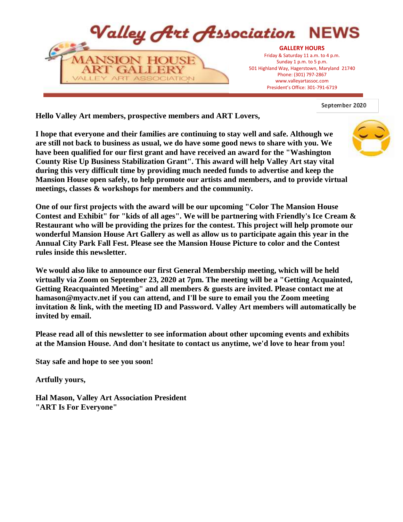

September 2020

**Hello Valley Art members, prospective members and ART Lovers,**

**I hope that everyone and their families are continuing to stay well and safe. Although we are still not back to business as usual, we do have some good news to share with you. We have been qualified for our first grant and have received an award for the "Washington County Rise Up Business Stabilization Grant". This award will help Valley Art stay vital during this very difficult time by providing much needed funds to advertise and keep the Mansion House open safely, to help promote our artists and members, and to provide virtual meetings, classes & workshops for members and the community.**



**One of our first projects with the award will be our upcoming "Color The Mansion House Contest and Exhibit" for "kids of all ages". We will be partnering with Friendly's Ice Cream & Restaurant who will be providing the prizes for the contest. This project will help promote our wonderful Mansion House Art Gallery as well as allow us to participate again this year in the Annual City Park Fall Fest. Please see the Mansion House Picture to color and the Contest rules inside this newsletter.** 

**We would also like to announce our first General Membership meeting, which will be held virtually via Zoom on September 23, 2020 at 7pm. The meeting will be a "Getting Acquainted, Getting Reacquainted Meeting" and all members & guests are invited. Please contact me at hamason@myactv.net if you can attend, and I'll be sure to email you the Zoom meeting invitation & link, with the meeting ID and Password. Valley Art members will automatically be invited by email.**

**Please read all of this newsletter to see information about other upcoming events and exhibits at the Mansion House. And don't hesitate to contact us anytime, we'd love to hear from you!**

**Stay safe and hope to see you soon!**

**Artfully yours,**

**Hal Mason, Valley Art Association President "ART Is For Everyone"**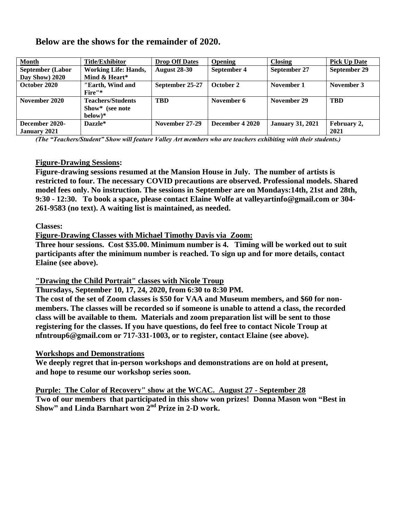| <b>Month</b>            | <b>Title/Exhibitor</b>      | <b>Drop Off Dates</b> | <b>Opening</b>  | <b>Closing</b>          | <b>Pick Up Date</b> |
|-------------------------|-----------------------------|-----------------------|-----------------|-------------------------|---------------------|
| <b>September (Labor</b> | <b>Working Life: Hands,</b> | <b>August 28-30</b>   | September 4     | September 27            | September 29        |
| Day Show) 2020          | Mind & Heart*               |                       |                 |                         |                     |
| October 2020            | "Earth, Wind and            | September 25-27       | October 2       | November 1              | November 3          |
|                         | Fire"*                      |                       |                 |                         |                     |
| November 2020           | <b>Teachers/Students</b>    | <b>TBD</b>            | November 6      | November 29             | <b>TBD</b>          |
|                         | Show* (see note             |                       |                 |                         |                     |
|                         | $below)*$                   |                       |                 |                         |                     |
| December 2020-          | Dazzle*                     | November 27-29        | December 4 2020 | <b>January 31, 2021</b> | February 2,         |
| <b>January 2021</b>     |                             |                       |                 |                         | 2021                |

### **Below are the shows for the remainder of 2020.**

*(The "Teachers/Student" Show will feature Valley Art members who are teachers exhibiting with their students.)* 

### **Figure-Drawing Sessions:**

**Figure-drawing sessions resumed at the Mansion House in July. The number of artists is restricted to four. The necessary COVID precautions are observed. Professional models. Shared model fees only. No instruction. The sessions in September are on Mondays:14th, 21st and 28th, 9:30 - 12:30. To book a space, please contact Elaine Wolfe at valleyartinfo@gmail.com or 304- 261-9583 (no text). A waiting list is maintained, as needed.**

### **Classes:**

**Figure-Drawing Classes with Michael Timothy Davis via Zoom:**

**Three hour sessions. Cost \$35.00. Minimum number is 4. Timing will be worked out to suit participants after the minimum number is reached. To sign up and for more details, contact Elaine (see above).**

**"Drawing the Child Portrait" classes with Nicole Troup** 

**Thursdays, September 10, 17, 24, 2020, from 6:30 to 8:30 PM.**

**The cost of the set of Zoom classes is \$50 for VAA and Museum members, and \$60 for nonmembers. The classes will be recorded so if someone is unable to attend a class, the recorded class will be available to them. Materials and zoom preparation list will be sent to those registering for the classes. If you have questions, do feel free to contact Nicole Troup at nfntroup6@gmail.com or 717-331-1003, or to register, contact Elaine (see above).**

### **Workshops and Demonstrations**

**We deeply regret that in-person workshops and demonstrations are on hold at present, and hope to resume our workshop series soon.**

**Purple: The Color of Recovery" show at the WCAC. August 27 - September 28 Two of our members that participated in this show won prizes! Donna Mason won "Best in Show" and Linda Barnhart won 2 nd Prize in 2-D work.**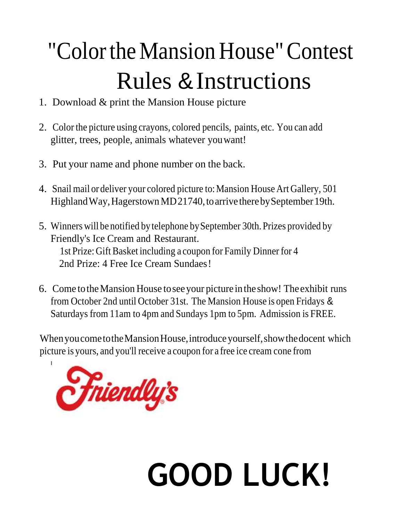# "ColortheMansion House"Contest Rules &Instructions

- 1. Download & print the Mansion House picture
- 2. Color the picture using crayons, colored pencils, paints, etc. You can add glitter, trees, people, animals whatever youwant!
- 3. Put your name and phone number on the back.
- 4. Snail mail or deliver your colored picture to:Mansion House Art Gallery, 501 Highland Way, Hagerstown MD21740, to arrive there by September 19th.
- 5. Winners will be notified by telephone bySeptember 30th. Prizes provided by Friendly's Ice Cream and Restaurant. 1st Prize: Gift Basket including a coupon for Family Dinner for 4 2nd Prize: 4 Free Ice Cream Sundaes!
- 6. Come totheMansion House toseeyour picture inthe show! The exhibit runs from October 2nd until October 31st. The Mansion House is open Fridays & Saturdays from 11am to 4pm and Sundays 1pm to 5pm. Admission is FREE.

When you come to the Mansion House, introduce yourself, show the docent which picture is yours, and you'll receive a coupon for a free ice cream cone from



# **GOOD LUCK!**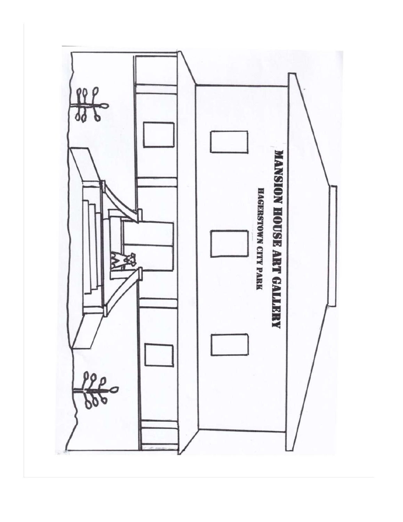